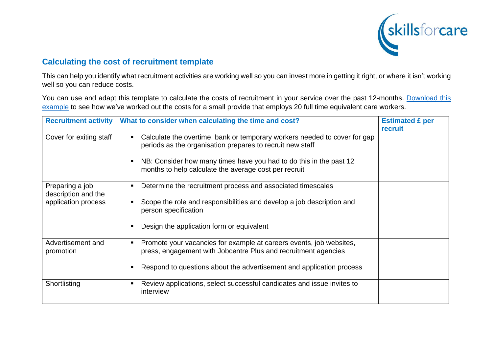

## **Calculating the cost of recruitment template**

This can help you identify what recruitment activities are working well so you can invest more in getting it right, or where it isn't working well so you can reduce costs.

You can use and adapt this template to calculate the costs of recruitment in your service over the past 12-months. [Download this](http://www.skillsforcare.org.uk/recruitmentcosts)  [example](http://www.skillsforcare.org.uk/recruitmentcosts) to see how we've worked out the costs for a small provide that employs 20 full time equivalent care workers.

| <b>Recruitment activity</b>            | What to consider when calculating the time and cost?                                                                                        | <b>Estimated £ per</b><br>recruit |
|----------------------------------------|---------------------------------------------------------------------------------------------------------------------------------------------|-----------------------------------|
| Cover for exiting staff                | Calculate the overtime, bank or temporary workers needed to cover for gap<br>Е<br>periods as the organisation prepares to recruit new staff |                                   |
|                                        | NB: Consider how many times have you had to do this in the past 12<br>п<br>months to help calculate the average cost per recruit            |                                   |
| Preparing a job<br>description and the | Determine the recruitment process and associated timescales<br>п                                                                            |                                   |
| application process                    | Scope the role and responsibilities and develop a job description and<br>person specification                                               |                                   |
|                                        | Design the application form or equivalent<br>Е                                                                                              |                                   |
| Advertisement and                      | Promote your vacancies for example at careers events, job websites,<br>п                                                                    |                                   |
| promotion                              | press, engagement with Jobcentre Plus and recruitment agencies                                                                              |                                   |
|                                        | Respond to questions about the advertisement and application process                                                                        |                                   |
| Shortlisting                           | Review applications, select successful candidates and issue invites to<br>Е<br>interview                                                    |                                   |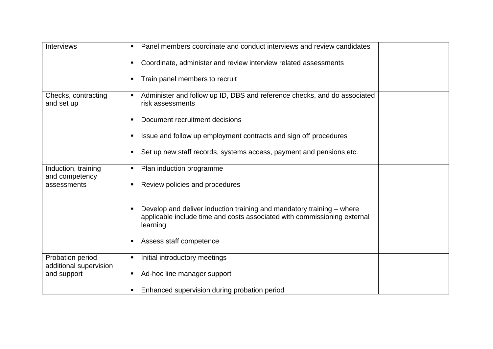| <b>Interviews</b>                          | Panel members coordinate and conduct interviews and review candidates<br>п                                                                                    |
|--------------------------------------------|---------------------------------------------------------------------------------------------------------------------------------------------------------------|
|                                            | Coordinate, administer and review interview related assessments                                                                                               |
|                                            | Train panel members to recruit<br>п                                                                                                                           |
| Checks, contracting<br>and set up          | Administer and follow up ID, DBS and reference checks, and do associated<br>п<br>risk assessments                                                             |
|                                            | Document recruitment decisions<br>п                                                                                                                           |
|                                            | Issue and follow up employment contracts and sign off procedures<br>Е                                                                                         |
|                                            | Set up new staff records, systems access, payment and pensions etc.<br>п                                                                                      |
| Induction, training                        | Plan induction programme<br>п                                                                                                                                 |
| and competency<br>assessments              | Review policies and procedures                                                                                                                                |
|                                            | Develop and deliver induction training and mandatory training – where<br>applicable include time and costs associated with commissioning external<br>learning |
|                                            | Assess staff competence<br>п                                                                                                                                  |
| Probation period<br>additional supervision | Initial introductory meetings<br>П                                                                                                                            |
| and support                                | Ad-hoc line manager support<br>п                                                                                                                              |
|                                            | Enhanced supervision during probation period<br>п                                                                                                             |